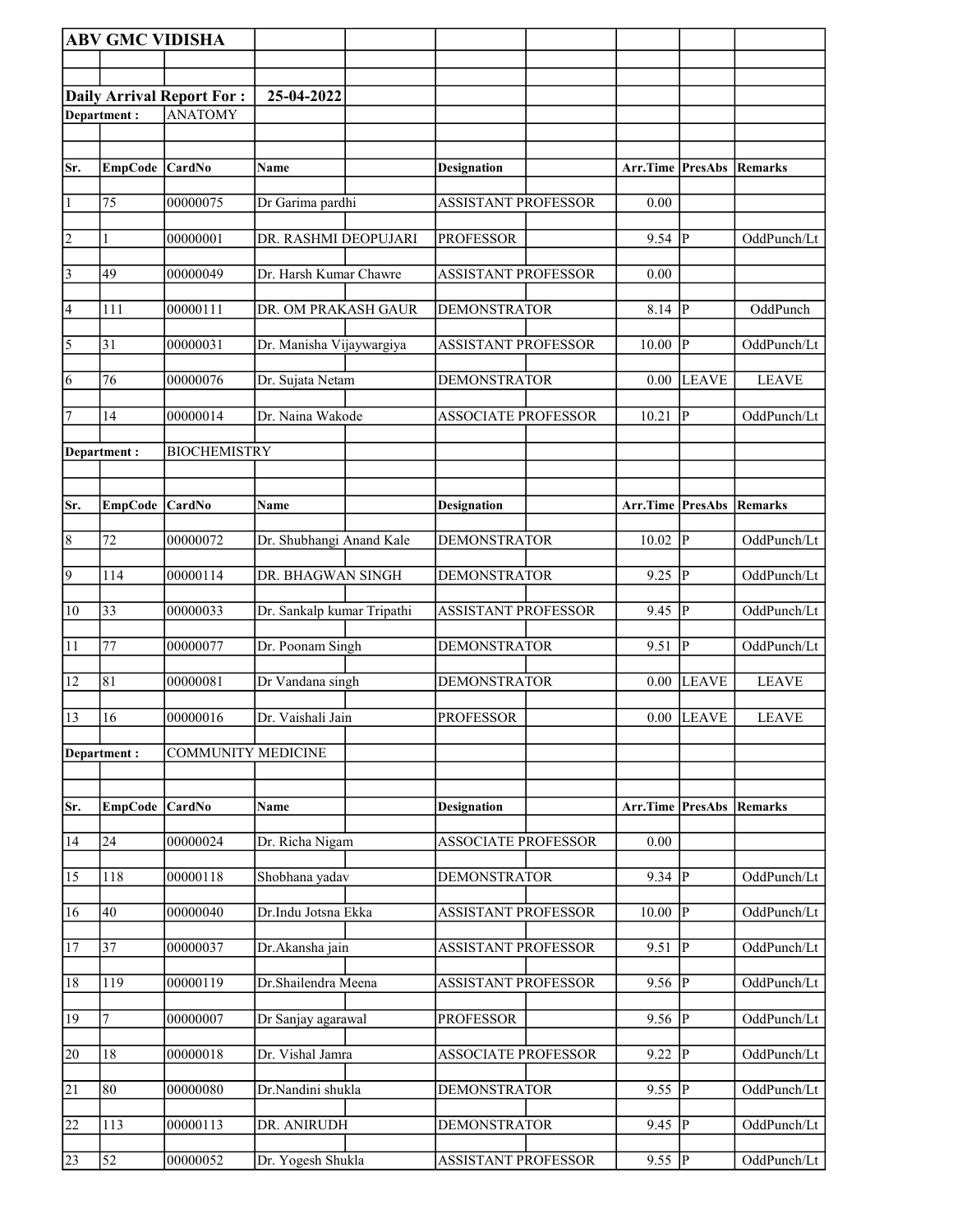|                       | <b>ABV GMC VIDISHA</b> |                                  |                            |                            |                         |                |              |
|-----------------------|------------------------|----------------------------------|----------------------------|----------------------------|-------------------------|----------------|--------------|
|                       |                        |                                  |                            |                            |                         |                |              |
|                       |                        | <b>Daily Arrival Report For:</b> | 25-04-2022                 |                            |                         |                |              |
|                       | Department:            | <b>ANATOMY</b>                   |                            |                            |                         |                |              |
|                       |                        |                                  |                            |                            |                         |                |              |
|                       |                        |                                  |                            |                            |                         |                |              |
| Sr.                   | EmpCode CardNo         |                                  | Name                       | <b>Designation</b>         | Arr.Time PresAbs        |                | Remarks      |
| $\vert$ 1             | 75                     | 00000075                         | Dr Garima pardhi           | <b>ASSISTANT PROFESSOR</b> | 0.00                    |                |              |
| $\vert$ 2             | $\mathbf{1}$           | 00000001                         | DR. RASHMI DEOPUJARI       | <b>PROFESSOR</b>           | $9.54$ P                |                | OddPunch/Lt  |
| $\vert 3 \vert$       | 49                     | 00000049                         | Dr. Harsh Kumar Chawre     | ASSISTANT PROFESSOR        | 0.00                    |                |              |
| 4                     | 111                    | 00000111                         | DR. OM PRAKASH GAUR        | <b>DEMONSTRATOR</b>        | 8.14 $ \overline{P} $   |                | OddPunch     |
| $\overline{\sqrt{5}}$ | 31                     | 00000031                         | Dr. Manisha Vijaywargiya   | <b>ASSISTANT PROFESSOR</b> | 10.00                   | $\overline{P}$ | OddPunch/Lt  |
| 6                     | 76                     | 00000076                         | Dr. Sujata Netam           | <b>DEMONSTRATOR</b>        | 0.00                    | LEAVE          | <b>LEAVE</b> |
| 7                     | 14                     | 00000014                         | Dr. Naina Wakode           | <b>ASSOCIATE PROFESSOR</b> | 10.21                   | P              | OddPunch/Lt  |
|                       | Department:            | <b>BIOCHEMISTRY</b>              |                            |                            |                         |                |              |
|                       |                        |                                  |                            |                            |                         |                |              |
| Sr.                   | <b>EmpCode</b>         | CardNo                           | Name                       | Designation                | Arr.Time PresAbs        |                | Remarks      |
| 8                     | 72                     | 00000072                         | Dr. Shubhangi Anand Kale   | <b>DEMONSTRATOR</b>        | 10.02                   | $ {\bf P} $    | OddPunch/Lt  |
| $\vert$ 9             | 114                    | 00000114                         | DR. BHAGWAN SINGH          | <b>DEMONSTRATOR</b>        | 9.25                    | P              | OddPunch/Lt  |
| 10                    | 33                     | 00000033                         | Dr. Sankalp kumar Tripathi | <b>ASSISTANT PROFESSOR</b> | 9.45                    | <sup> </sup> P | OddPunch/Lt  |
| 11                    | 77                     | 00000077                         | Dr. Poonam Singh           | <b>DEMONSTRATOR</b>        | 9.51                    | $ {\bf p} $    | OddPunch/Lt  |
| 12                    | 81                     | 00000081                         | Dr Vandana singh           | <b>DEMONSTRATOR</b>        | 0.00                    | <b>LEAVE</b>   | <b>LEAVE</b> |
| 13                    | 16                     | 00000016                         | Dr. Vaishali Jain          | <b>PROFESSOR</b>           |                         | $0.00$ LEAVE   | <b>LEAVE</b> |
|                       | Department:            | <b>COMMUNITY MEDICINE</b>        |                            |                            |                         |                |              |
|                       |                        |                                  |                            |                            |                         |                |              |
| Sr.                   | <b>EmpCode</b>         | CardNo                           | <b>Name</b>                | <b>Designation</b>         | <b>Arr.Time PresAbs</b> |                | Remarks      |
| 14                    | 24                     | 00000024                         | Dr. Richa Nigam            | <b>ASSOCIATE PROFESSOR</b> | 0.00                    |                |              |
| 15                    | 118                    | 00000118                         | Shobhana yadav             | <b>DEMONSTRATOR</b>        | 9.34                    | P              | OddPunch/Lt  |
| 16                    | 40                     | 00000040                         | Dr.Indu Jotsna Ekka        | <b>ASSISTANT PROFESSOR</b> | 10.00                   | $ {\bf P} $    | OddPunch/Lt  |
| 17                    | 37                     | 00000037                         | Dr.Akansha jain            | <b>ASSISTANT PROFESSOR</b> | 9.51                    | P              | OddPunch/Lt  |
| 18                    | 119                    | 00000119                         | Dr.Shailendra Meena        | <b>ASSISTANT PROFESSOR</b> | 9.56                    | P              | OddPunch/Lt  |
| 19                    | 7                      | 00000007                         | Dr Sanjay agarawal         | <b>PROFESSOR</b>           | 9.56                    | P              | OddPunch/Lt  |
| 20                    | 18                     | 00000018                         | Dr. Vishal Jamra           | <b>ASSOCIATE PROFESSOR</b> | 9.22                    | $\overline{P}$ | OddPunch/Lt  |
| 21                    | 80                     | 00000080                         | Dr.Nandini shukla          | <b>DEMONSTRATOR</b>        | 9.55                    | $ {\bf p} $    | OddPunch/Lt  |
| 22                    | 113                    | 00000113                         | DR. ANIRUDH                | <b>DEMONSTRATOR</b>        | 9.45                    | P              | OddPunch/Lt  |
| 23                    | 52                     | 00000052                         | Dr. Yogesh Shukla          | <b>ASSISTANT PROFESSOR</b> | 9.55  P                 |                | OddPunch/Lt  |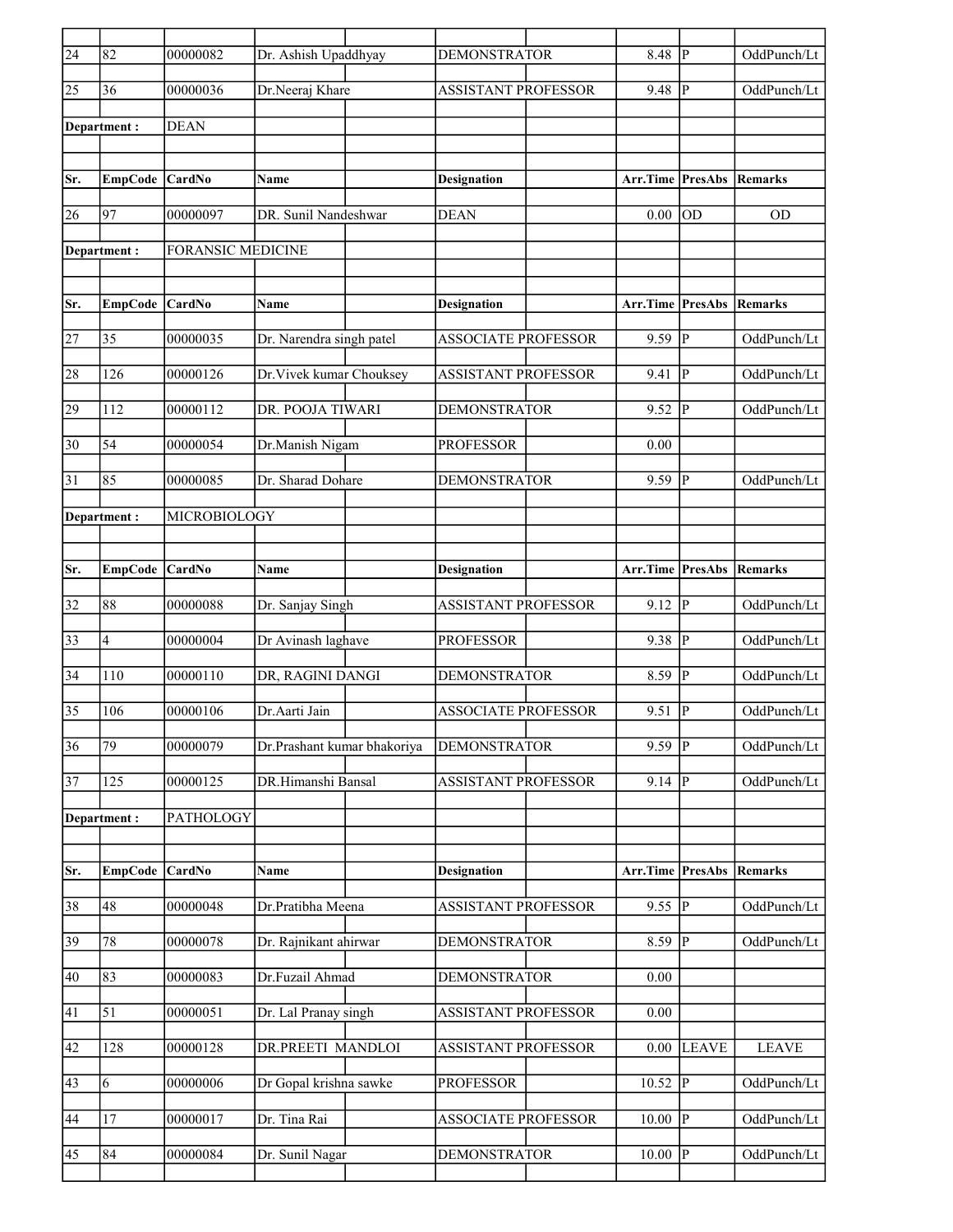| 24           | 82             | 00000082                 | Dr. Ashish Upaddhyay        | <b>DEMONSTRATOR</b>        | 8.48             | P                       | OddPunch/Lt  |
|--------------|----------------|--------------------------|-----------------------------|----------------------------|------------------|-------------------------|--------------|
| $ 25\rangle$ | 36             | 00000036                 | Dr.Neeraj Khare             | <b>ASSISTANT PROFESSOR</b> | 9.48             | P                       | OddPunch/Lt  |
|              | Department :   | <b>DEAN</b>              |                             |                            |                  |                         |              |
|              |                |                          |                             |                            |                  |                         |              |
| Sr.          | <b>EmpCode</b> | CardNo                   | Name                        | <b>Designation</b>         | Arr.Time PresAbs |                         | Remarks      |
| 26           | 97             | 00000097                 | DR. Sunil Nandeshwar        | <b>DEAN</b>                | 0.00             | <b>OD</b>               | <b>OD</b>    |
|              | Department:    | <b>FORANSIC MEDICINE</b> |                             |                            |                  |                         |              |
| Sr.          | <b>EmpCode</b> | CardNo                   | Name                        | Designation                | Arr.Time PresAbs |                         | Remarks      |
|              |                |                          |                             |                            |                  |                         |              |
| 27           | 35             | 00000035                 | Dr. Narendra singh patel    | <b>ASSOCIATE PROFESSOR</b> | 9.59             | P                       | OddPunch/Lt  |
| 28           | 126            | 00000126                 | Dr. Vivek kumar Chouksey    | <b>ASSISTANT PROFESSOR</b> | 9.41             | $ {\bf p} $             | OddPunch/Lt  |
| 29           | 112            | 00000112                 | DR. POOJA TIWARI            | <b>DEMONSTRATOR</b>        | 9.52             | lP.                     | OddPunch/Lt  |
| 30           | 54             | 00000054                 | Dr.Manish Nigam             | <b>PROFESSOR</b>           | 0.00             |                         |              |
| 31           | 85             | 00000085                 | Dr. Sharad Dohare           | <b>DEMONSTRATOR</b>        | 9.59             | p                       | OddPunch/Lt  |
|              | Department:    | MICROBIOLOGY             |                             |                            |                  |                         |              |
|              |                |                          |                             |                            |                  |                         |              |
| Sr.          | <b>EmpCode</b> | CardNo                   | Name                        | Designation                | Arr.Time PresAbs |                         | Remarks      |
| 32           | 88             | 00000088                 | Dr. Sanjay Singh            | <b>ASSISTANT PROFESSOR</b> | 9.12             | IР                      | OddPunch/Lt  |
| 33           | 4              | 00000004                 | Dr Avinash laghave          | <b>PROFESSOR</b>           | 9.38             | P                       | OddPunch/Lt  |
| 34           | 110            | 00000110                 | DR, RAGINI DANGI            | <b>DEMONSTRATOR</b>        | 8.59             | P                       | OddPunch/Lt  |
| 35           | 106            | 00000106                 | Dr.Aarti Jain               | <b>ASSOCIATE PROFESSOR</b> | 9.51             | P                       | OddPunch/Lt  |
| 36           | 79             | 00000079                 | Dr.Prashant kumar bhakoriya | <b>DEMONSTRATOR</b>        | 9.59             | $\overline{P}$          | OddPunch/Lt  |
| 37           | 125            | 00000125                 | DR.Himanshi Bansal          | ASSISTANT PROFESSOR        | 9.14             | P                       | OddPunch/Lt  |
|              | Department:    | PATHOLOGY                |                             |                            |                  |                         |              |
|              |                |                          |                             |                            |                  |                         |              |
| Sr.          | <b>EmpCode</b> | CardNo                   | Name                        | <b>Designation</b>         | Arr.Time PresAbs |                         | Remarks      |
| 38           | 48             | 00000048                 | Dr.Pratibha Meena           | <b>ASSISTANT PROFESSOR</b> | 9.55             | $\overline{\mathbb{P}}$ | OddPunch/Lt  |
| 39           | 78             | 00000078                 | Dr. Rajnikant ahirwar       | <b>DEMONSTRATOR</b>        | 8.59             | P                       | OddPunch/Lt  |
| 40           | 83             | 00000083                 | Dr.Fuzail Ahmad             | <b>DEMONSTRATOR</b>        | 0.00             |                         |              |
| 41           | $\vert$ 51     | 00000051                 | Dr. Lal Pranay singh        | <b>ASSISTANT PROFESSOR</b> | 0.00             |                         |              |
| 42           | 128            | 00000128                 | <b>DR.PREETI MANDLOI</b>    | <b>ASSISTANT PROFESSOR</b> | 0.00             | LEAVE                   | <b>LEAVE</b> |
| 43           | 6              | 00000006                 | Dr Gopal krishna sawke      | <b>PROFESSOR</b>           | 10.52            | $\overline{P}$          | OddPunch/Lt  |
| 44           | 17             | 00000017                 | Dr. Tina Rai                | ASSOCIATE PROFESSOR        | 10.00            | $ {\bf p} $             | OddPunch/Lt  |
| 45           | 84             | 00000084                 | Dr. Sunil Nagar             | <b>DEMONSTRATOR</b>        | 10.00            | P                       | OddPunch/Lt  |
|              |                |                          |                             |                            |                  |                         |              |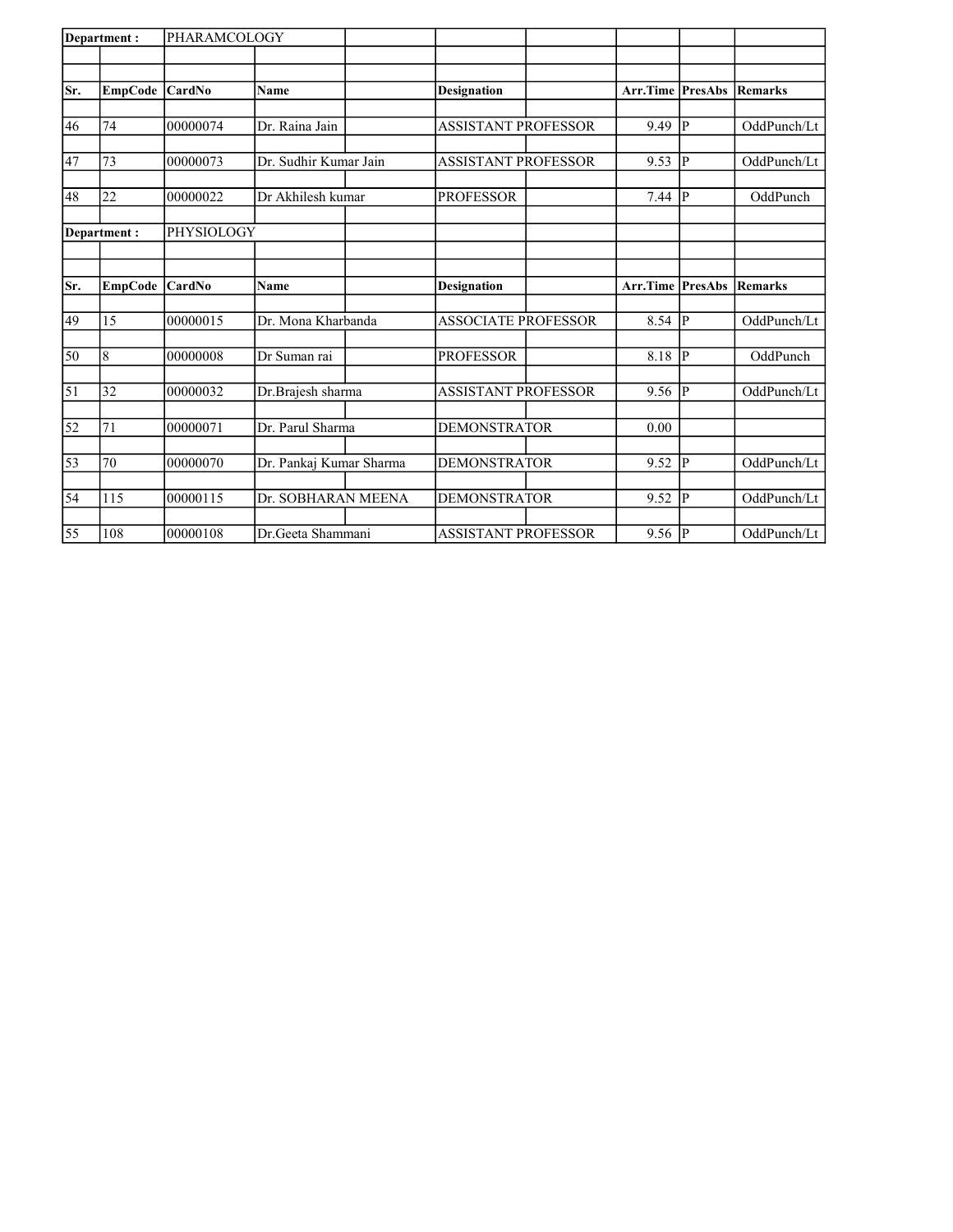| Department:     |                | PHARAMCOLOGY |                         |                            |                           |   |             |
|-----------------|----------------|--------------|-------------------------|----------------------------|---------------------------|---|-------------|
|                 |                |              |                         |                            |                           |   |             |
|                 |                |              |                         |                            |                           |   |             |
| Sr.             | <b>EmpCode</b> | CardNo       | <b>Name</b>             | <b>Designation</b>         | <b>Arr.Time   PresAbs</b> |   | Remarks     |
| 46              | 74             | 00000074     | Dr. Raina Jain          | <b>ASSISTANT PROFESSOR</b> | 9.49                      | P | OddPunch/Lt |
|                 |                |              |                         |                            |                           |   |             |
| 47              | 73             | 00000073     | Dr. Sudhir Kumar Jain   | <b>ASSISTANT PROFESSOR</b> | 9.53                      | P | OddPunch/Lt |
| 48              | 22             | 00000022     | Dr Akhilesh kumar       | <b>PROFESSOR</b>           | 7.44                      | P | OddPunch    |
|                 |                |              |                         |                            |                           |   |             |
|                 | Department:    | PHYSIOLOGY   |                         |                            |                           |   |             |
|                 |                |              |                         |                            |                           |   |             |
| Sr.             | <b>EmpCode</b> | CardNo       | <b>Name</b>             | <b>Designation</b>         | <b>Arr.Time   PresAbs</b> |   | Remarks     |
|                 |                |              |                         |                            |                           |   |             |
| 49              | 15             | 00000015     | Dr. Mona Kharbanda      | <b>ASSOCIATE PROFESSOR</b> | 8.54                      | P | OddPunch/Lt |
| 50              | 8              | 00000008     | Dr Suman rai            | <b>PROFESSOR</b>           | 8.18                      | P | OddPunch    |
|                 |                |              |                         |                            |                           |   |             |
| $\vert$ 51      | 32             | 00000032     | Dr.Brajesh sharma       | <b>ASSISTANT PROFESSOR</b> | 9.56                      | P | OddPunch/Lt |
| 52              | 71             | 00000071     | Dr. Parul Sharma        | <b>DEMONSTRATOR</b>        | 0.00                      |   |             |
|                 |                |              |                         |                            |                           |   |             |
| 53              | 70             | 00000070     | Dr. Pankaj Kumar Sharma | <b>DEMONSTRATOR</b>        | 9.52                      | P | OddPunch/Lt |
| 54              | 115            | 00000115     | Dr. SOBHARAN MEENA      | <b>DEMONSTRATOR</b>        | 9.52                      | P | OddPunch/Lt |
|                 |                |              |                         |                            |                           |   |             |
| $\overline{55}$ | 108            | 00000108     | Dr.Geeta Shammani       | <b>ASSISTANT PROFESSOR</b> | 9.56  P                   |   | OddPunch/Lt |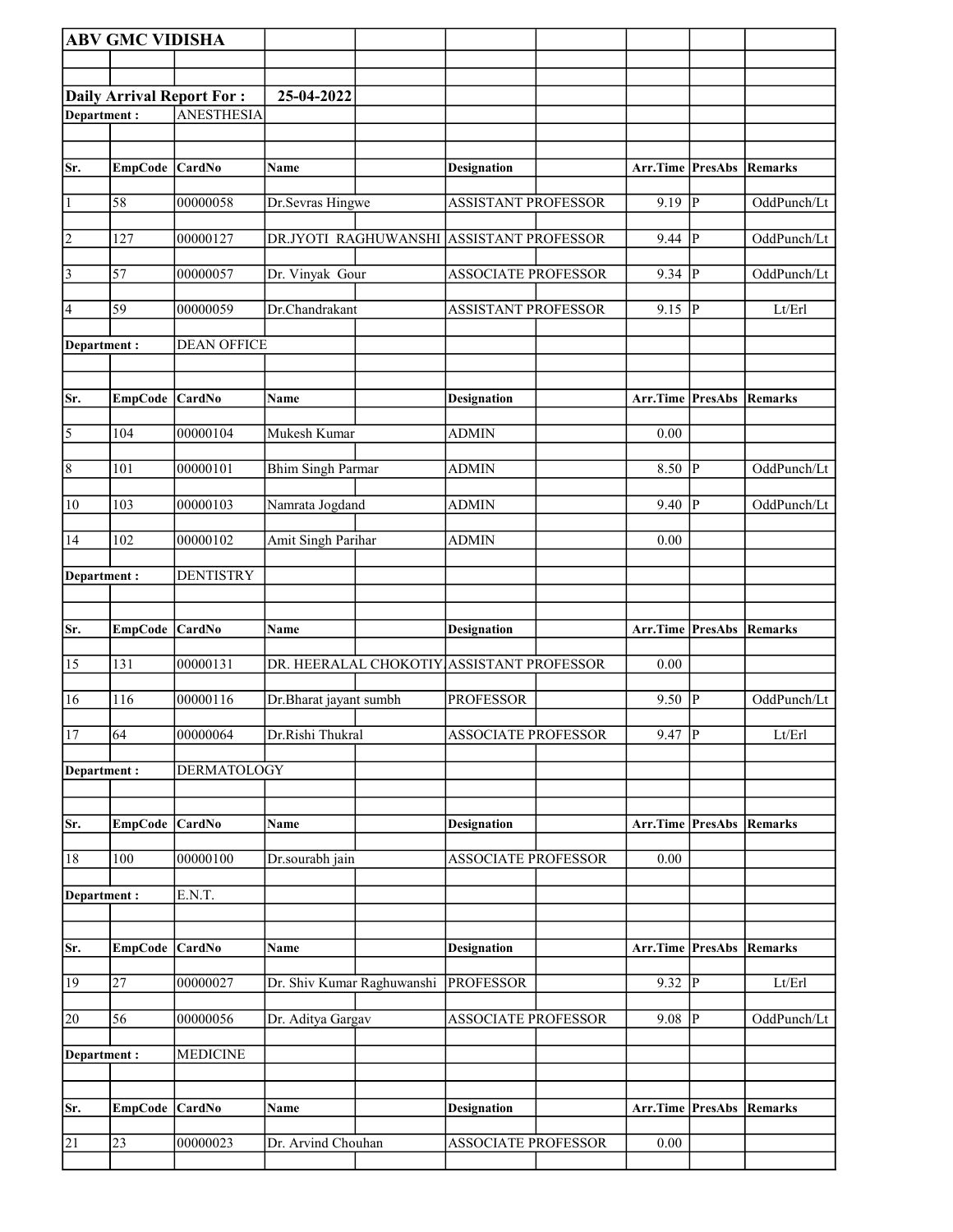|                                                                      | <b>ABV GMC VIDISHA</b> |                    |                                           |                            |                                 |                        |             |
|----------------------------------------------------------------------|------------------------|--------------------|-------------------------------------------|----------------------------|---------------------------------|------------------------|-------------|
|                                                                      |                        |                    |                                           |                            |                                 |                        |             |
|                                                                      |                        |                    |                                           |                            |                                 |                        |             |
| <b>Daily Arrival Report For:</b><br><b>ANESTHESIA</b><br>Department: |                        | 25-04-2022         |                                           |                            |                                 |                        |             |
|                                                                      |                        |                    |                                           |                            |                                 |                        |             |
|                                                                      |                        |                    |                                           |                            |                                 |                        |             |
| Sr.                                                                  | EmpCode CardNo         |                    | Name                                      | <b>Designation</b>         | Arr.Time                        | <b>PresAbs Remarks</b> |             |
| $\vert$ 1                                                            | 58                     | 00000058           | Dr.Sevras Hingwe                          | <b>ASSISTANT PROFESSOR</b> | 9.19                            | $\overline{P}$         | OddPunch/Lt |
| $\vert$ 2                                                            | 127                    | 00000127           | DR.JYOTI RAGHUWANSHI ASSISTANT PROFESSOR  |                            | 9.44                            | ∣P                     | OddPunch/Lt |
| $\vert$ 3                                                            | 57                     | 00000057           | Dr. Vinyak Gour                           | <b>ASSOCIATE PROFESSOR</b> | 9.34                            | P                      | OddPunch/Lt |
| 4                                                                    | 59                     | 00000059           | Dr.Chandrakant                            | <b>ASSISTANT PROFESSOR</b> | 9.15                            | P                      | Lt/Erl      |
| Department:                                                          |                        | <b>DEAN OFFICE</b> |                                           |                            |                                 |                        |             |
|                                                                      |                        |                    |                                           |                            |                                 |                        |             |
| Sr.                                                                  | EmpCode CardNo         |                    | <b>Name</b>                               | <b>Designation</b>         | <b>Arr.Time PresAbs Remarks</b> |                        |             |
| $\overline{\mathbf{5}}$                                              | 104                    | 00000104           | Mukesh Kumar                              | <b>ADMIN</b>               | 0.00                            |                        |             |
| $\overline{8}$                                                       | 101                    | 00000101           | <b>Bhim Singh Parmar</b>                  | <b>ADMIN</b>               | 8.50                            | P                      | OddPunch/Lt |
| 10                                                                   | 103                    | 00000103           | Namrata Jogdand                           | <b>ADMIN</b>               | 9.40                            | $\mathbf{P}$           | OddPunch/Lt |
| 14                                                                   | 102                    | 00000102           | Amit Singh Parihar                        | <b>ADMIN</b>               | 0.00                            |                        |             |
| Department:                                                          |                        | <b>DENTISTRY</b>   |                                           |                            |                                 |                        |             |
|                                                                      |                        |                    |                                           |                            |                                 |                        |             |
| Sr.                                                                  | <b>EmpCode</b>         | <b>CardNo</b>      | Name                                      | <b>Designation</b>         | Arr.Time                        | PresAbs                | Remarks     |
| 15                                                                   | 131                    | 00000131           | DR. HEERALAL CHOKOTIY ASSISTANT PROFESSOR |                            | 0.00                            |                        |             |
| 16                                                                   | 116                    | 00000116           | Dr.Bharat jayant sumbh                    | <b>PROFESSOR</b>           | 9.50                            | P                      | OddPunch/Lt |
| 17                                                                   | 64                     | 00000064           | Dr.Rishi Thukral                          | ASSOCIATE PROFESSOR        | $9.47$ P                        |                        | Lt/Erl      |
| Department :                                                         |                        | <b>DERMATOLOGY</b> |                                           |                            |                                 |                        |             |
| Sr.                                                                  | <b>EmpCode</b>         | CardNo             | Name                                      | <b>Designation</b>         | Arr.Time                        | <b>PresAbs</b>         | Remarks     |
| 18                                                                   | 100                    | 00000100           | Dr.sourabh jain                           | <b>ASSOCIATE PROFESSOR</b> | 0.00                            |                        |             |
| Department:                                                          |                        | E.N.T.             |                                           |                            |                                 |                        |             |
|                                                                      |                        |                    |                                           |                            |                                 |                        |             |
| Sr.                                                                  | EmpCode CardNo         |                    | Name                                      | <b>Designation</b>         | <b>Arr.Time PresAbs Remarks</b> |                        |             |
| 19                                                                   | 27                     | 00000027           | Dr. Shiv Kumar Raghuwanshi                | <b>PROFESSOR</b>           | 9.32                            | P                      | Lt/Erl      |
| 20                                                                   | 56                     | 00000056           | Dr. Aditya Gargav                         | <b>ASSOCIATE PROFESSOR</b> | 9.08                            | P                      | OddPunch/Lt |
| Department:                                                          |                        | <b>MEDICINE</b>    |                                           |                            |                                 |                        |             |
|                                                                      |                        |                    |                                           |                            |                                 |                        |             |
| Sr.                                                                  | EmpCode CardNo         |                    | Name                                      | <b>Designation</b>         | Arr.Time                        | <b>PresAbs Remarks</b> |             |
| 21                                                                   | 23                     | 00000023           | Dr. Arvind Chouhan                        | <b>ASSOCIATE PROFESSOR</b> | 0.00                            |                        |             |
|                                                                      |                        |                    |                                           |                            |                                 |                        |             |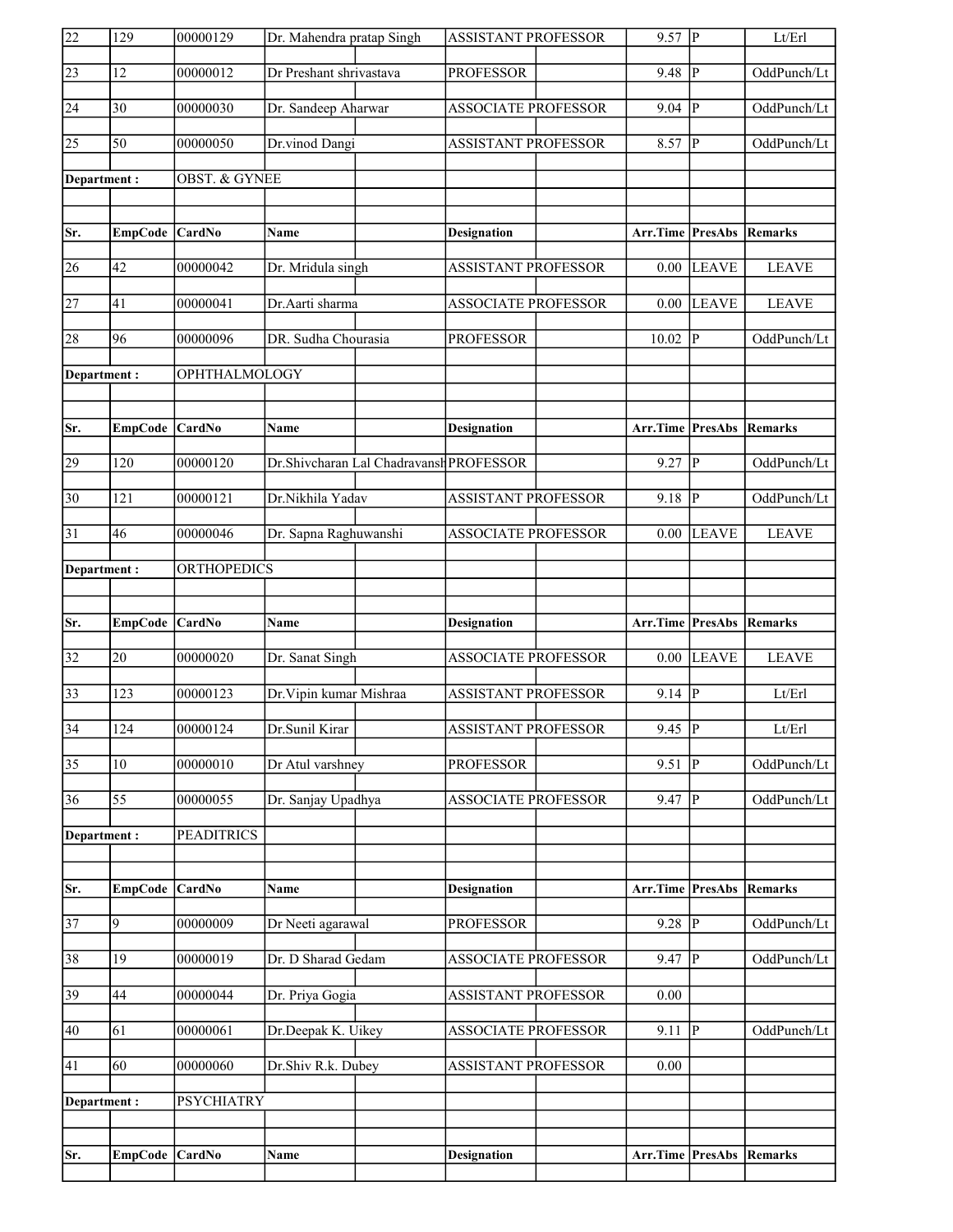| 22              | 129              | 00000129                 | Dr. Mahendra pratap Singh               | <b>ASSISTANT PROFESSOR</b> | 9.57                            | $\overline{P}$ | Lt/Erl         |
|-----------------|------------------|--------------------------|-----------------------------------------|----------------------------|---------------------------------|----------------|----------------|
| $\sqrt{23}$     | 12               | 00000012                 | Dr Preshant shrivastava                 | <b>PROFESSOR</b>           | 9.48                            | P              | OddPunch/Lt    |
| 24              | 30               | 00000030                 | Dr. Sandeep Aharwar                     | <b>ASSOCIATE PROFESSOR</b> | 9.04                            | IР             | OddPunch/Lt    |
| $\overline{25}$ | $\overline{50}$  | 00000050                 | Dr.vinod Dangi                          | <b>ASSISTANT PROFESSOR</b> | 8.57                            | P              | OddPunch/Lt    |
| Department:     |                  | <b>OBST. &amp; GYNEE</b> |                                         |                            |                                 |                |                |
|                 |                  |                          |                                         |                            |                                 |                |                |
| Sr.             | EmpCode CardNo   |                          | <b>Name</b>                             | <b>Designation</b>         | <b>Arr.Time PresAbs Remarks</b> |                |                |
| 26              | 42               | 00000042                 | Dr. Mridula singh                       | <b>ASSISTANT PROFESSOR</b> | 0.00                            | <b>LEAVE</b>   | <b>LEAVE</b>   |
| $\overline{27}$ | 41               | 00000041                 | Dr.Aarti sharma                         | <b>ASSOCIATE PROFESSOR</b> | 0.00                            | <b>LEAVE</b>   | <b>LEAVE</b>   |
| 28              | 96               | 00000096                 | DR. Sudha Chourasia                     | <b>PROFESSOR</b>           | 10.02                           | IР             | OddPunch/Lt    |
| Department:     |                  | OPHTHALMOLOGY            |                                         |                            |                                 |                |                |
|                 |                  |                          |                                         |                            |                                 |                |                |
| Sr.             | EmpCode CardNo   |                          | <b>Name</b>                             | <b>Designation</b>         | <b>Arr.Time PresAbs Remarks</b> |                |                |
| 29              | $\overline{1}20$ | 00000120                 | Dr.Shivcharan Lal Chadravansh PROFESSOR |                            | 9.27                            | $\mathbf{P}$   | OddPunch/Lt    |
| $\overline{30}$ | 121              | 00000121                 | Dr.Nikhila Yadav                        | <b>ASSISTANT PROFESSOR</b> | 9.18                            | P              | OddPunch/Lt    |
| 31              | 46               | 00000046                 | Dr. Sapna Raghuwanshi                   | <b>ASSOCIATE PROFESSOR</b> | 0.00                            | <b>LEAVE</b>   | <b>LEAVE</b>   |
| Department:     |                  | <b>ORTHOPEDICS</b>       |                                         |                            |                                 |                |                |
|                 |                  |                          |                                         |                            |                                 |                |                |
|                 |                  |                          |                                         |                            |                                 |                |                |
| Sr.             | EmpCode CardNo   |                          | Name                                    | <b>Designation</b>         | Arr.Time                        | PresAbs        | Remarks        |
| $\overline{32}$ | 20               | 00000020                 | Dr. Sanat Singh                         | <b>ASSOCIATE PROFESSOR</b> | 0.00                            | <b>LEAVE</b>   | <b>LEAVE</b>   |
| $\overline{33}$ | 123              | 00000123                 | Dr. Vipin kumar Mishraa                 | <b>ASSISTANT PROFESSOR</b> | 9.14                            | p              | Lt/Erl         |
| $\overline{34}$ | $\overline{124}$ | 00000124                 | Dr.Sunil Kirar                          | <b>ASSISTANT PROFESSOR</b> | $9.45$ P                        |                | Lt/Erl         |
| $\overline{35}$ | 10               | 00000010                 | Dr Atul varshney                        | <b>PROFESSOR</b>           | 9.51                            | P              | OddPunch/Lt    |
| 36              | 55               | 00000055                 | Dr. Sanjay Upadhya                      | <b>ASSOCIATE PROFESSOR</b> | 9.47                            | P              | OddPunch/Lt    |
| Department:     |                  | <b>PEADITRICS</b>        |                                         |                            |                                 |                |                |
|                 |                  |                          |                                         |                            |                                 |                |                |
| Sr.             | <b>EmpCode</b>   | CardNo                   | Name                                    | <b>Designation</b>         | Arr.Time                        | <b>PresAbs</b> | <b>Remarks</b> |
| $\overline{37}$ | 9                | 00000009                 | Dr Neeti agarawal                       | <b>PROFESSOR</b>           | $9.28$ P                        |                | OddPunch/Lt    |
| 38              | 19               | 00000019                 | Dr. D Sharad Gedam                      | <b>ASSOCIATE PROFESSOR</b> | 9.47                            | P              | OddPunch/Lt    |
| 39              | 44               | 00000044                 | Dr. Priya Gogia                         | ASSISTANT PROFESSOR        | 0.00                            |                |                |
| 40              | 61               | 00000061                 | Dr.Deepak K. Uikey                      | <b>ASSOCIATE PROFESSOR</b> | 9.11                            | P              | OddPunch/Lt    |
| 41              | 60               | 00000060                 | Dr.Shiv R.k. Dubey                      | <b>ASSISTANT PROFESSOR</b> | 0.00                            |                |                |
| Department:     |                  | <b>PSYCHIATRY</b>        |                                         |                            |                                 |                |                |
|                 |                  |                          |                                         |                            |                                 |                |                |